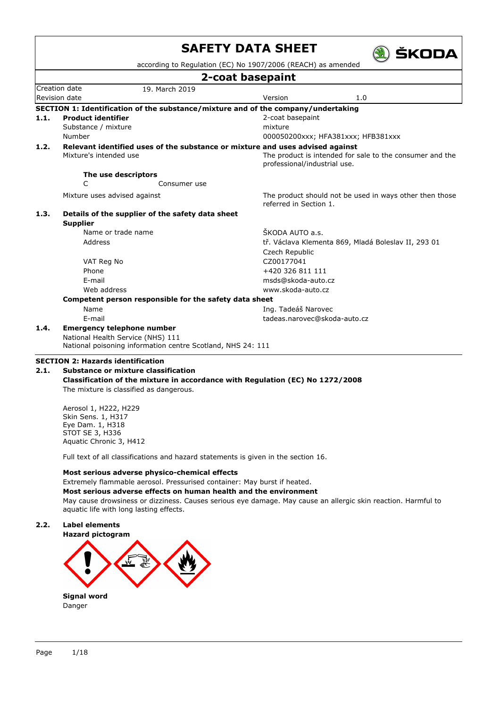|      |                                                                                   |                | according to Regulation (EC) No 1907/2006 (REACH) as amended |                                                          |
|------|-----------------------------------------------------------------------------------|----------------|--------------------------------------------------------------|----------------------------------------------------------|
|      |                                                                                   |                | 2-coat basepaint                                             |                                                          |
|      | Creation date                                                                     | 19. March 2019 |                                                              |                                                          |
|      | <b>Revision date</b>                                                              |                | Version                                                      | 1.0                                                      |
|      | SECTION 1: Identification of the substance/mixture and of the company/undertaking |                |                                                              |                                                          |
| 1.1. | <b>Product identifier</b>                                                         |                | 2-coat basepaint                                             |                                                          |
|      | Substance / mixture                                                               |                | mixture                                                      |                                                          |
|      | Number                                                                            |                |                                                              | 000050200xxx; HFA381xxx; HFB381xxx                       |
| 1.2. | Relevant identified uses of the substance or mixture and uses advised against     |                |                                                              |                                                          |
|      | Mixture's intended use                                                            |                | professional/industrial use.                                 | The product is intended for sale to the consumer and the |
|      |                                                                                   |                |                                                              |                                                          |
|      | The use descriptors<br>C                                                          | Consumer use   |                                                              |                                                          |
|      |                                                                                   |                |                                                              |                                                          |
|      | Mixture uses advised against                                                      |                | referred in Section 1.                                       | The product should not be used in ways other then those  |
| 1.3. | Details of the supplier of the safety data sheet                                  |                |                                                              |                                                          |
|      | <b>Supplier</b>                                                                   |                |                                                              |                                                          |
|      | Name or trade name                                                                |                | ŠKODA AUTO a.s.                                              |                                                          |
|      | Address                                                                           |                |                                                              | tř. Václava Klementa 869, Mladá Boleslav II, 293 01      |
|      |                                                                                   |                | Czech Republic                                               |                                                          |
|      | VAT Reg No                                                                        |                | CZ00177041                                                   |                                                          |
|      | Phone                                                                             |                | +420 326 811 111                                             |                                                          |
|      | E-mail                                                                            |                | msds@skoda-auto.cz                                           |                                                          |
|      | Web address                                                                       |                | www.skoda-auto.cz                                            |                                                          |
|      | Competent person responsible for the safety data sheet                            |                |                                                              |                                                          |
|      | Name                                                                              |                | Ing. Tadeáš Narovec                                          |                                                          |
|      | E-mail                                                                            |                | tadeas.narovec@skoda-auto.cz                                 |                                                          |
| 1.4. | <b>Emergency telephone number</b>                                                 |                |                                                              |                                                          |
|      | National Health Service (NHS) 111                                                 |                |                                                              |                                                          |
|      | National poisoning information centre Scotland, NHS 24: 111                       |                |                                                              |                                                          |

### **2.1. Substance or mixture classification Classification of the mixture in accordance with Regulation (EC) No 1272/2008** The mixture is classified as dangerous.

Aerosol 1, H222, H229 Skin Sens. 1, H317 Eye Dam. 1, H318 STOT SE 3, H336 Aquatic Chronic 3, H412

Full text of all classifications and hazard statements is given in the section 16.

### **Most serious adverse physico-chemical effects**

Extremely flammable aerosol. Pressurised container: May burst if heated.

**Most serious adverse effects on human health and the environment**

May cause drowsiness or dizziness. Causes serious eye damage. May cause an allergic skin reaction. Harmful to aquatic life with long lasting effects.

### **2.2. Label elements**

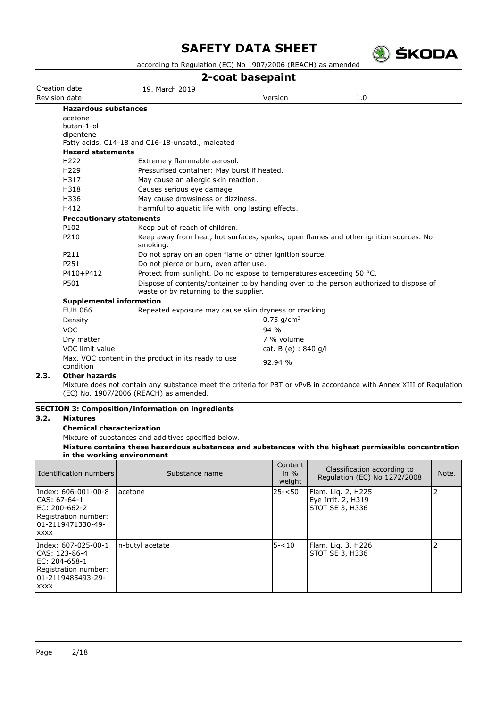

according to Regulation (EC) No 1907/2006 (REACH) as amended

## **2-coat basepaint**

|                                 |                                                                      | Z-cuat pasepanit         |                                                                                         |
|---------------------------------|----------------------------------------------------------------------|--------------------------|-----------------------------------------------------------------------------------------|
| Creation date                   | 19. March 2019                                                       |                          |                                                                                         |
| Revision date                   |                                                                      | Version                  | 1.0                                                                                     |
| <b>Hazardous substances</b>     |                                                                      |                          |                                                                                         |
| acetone                         |                                                                      |                          |                                                                                         |
| butan-1-ol                      |                                                                      |                          |                                                                                         |
| dipentene                       | Fatty acids, C14-18 and C16-18-unsatd., maleated                     |                          |                                                                                         |
| <b>Hazard statements</b>        |                                                                      |                          |                                                                                         |
| H <sub>222</sub>                | Extremely flammable aerosol.                                         |                          |                                                                                         |
| H <sub>229</sub>                | Pressurised container: May burst if heated.                          |                          |                                                                                         |
| H317                            | May cause an allergic skin reaction.                                 |                          |                                                                                         |
| H318                            | Causes serious eye damage.                                           |                          |                                                                                         |
| H336                            | May cause drowsiness or dizziness.                                   |                          |                                                                                         |
| H412                            | Harmful to aquatic life with long lasting effects.                   |                          |                                                                                         |
| <b>Precautionary statements</b> |                                                                      |                          |                                                                                         |
| P102                            | Keep out of reach of children.                                       |                          |                                                                                         |
| P210                            | smoking.                                                             |                          | Keep away from heat, hot surfaces, sparks, open flames and other ignition sources. No   |
| P211                            | Do not spray on an open flame or other ignition source.              |                          |                                                                                         |
| P251                            | Do not pierce or burn, even after use.                               |                          |                                                                                         |
| P410+P412                       | Protect from sunlight. Do no expose to temperatures exceeding 50 °C. |                          |                                                                                         |
| P501                            | waste or by returning to the supplier.                               |                          | Dispose of contents/container to by handing over to the person authorized to dispose of |
| <b>Supplemental information</b> |                                                                      |                          |                                                                                         |
| <b>EUH 066</b>                  | Repeated exposure may cause skin dryness or cracking.                |                          |                                                                                         |
| Density                         |                                                                      | $0.75$ g/cm <sup>3</sup> |                                                                                         |
| <b>VOC</b>                      |                                                                      | $94\%$                   |                                                                                         |
| Dry matter                      |                                                                      | 7 % volume               |                                                                                         |
| VOC limit value                 |                                                                      | cat. B (e) : 840 g/l     |                                                                                         |
| condition                       | Max. VOC content in the product in its ready to use                  | 92.94%                   |                                                                                         |

### **2.3. Other hazards**

Mixture does not contain any substance meet the criteria for PBT or vPvB in accordance with Annex XIII of Regulation (EC) No. 1907/2006 (REACH) as amended.

### **SECTION 3: Composition/information on ingredients**

### **3.2. Mixtures**

### **Chemical characterization**

Mixture of substances and additives specified below.

**Mixture contains these hazardous substances and substances with the highest permissible concentration in the working environment**

| Identification numbers                                                                                              | Substance name  | Content<br>in $\%$<br>weight | Classification according to<br>Regulation (EC) No 1272/2008 | Note. |
|---------------------------------------------------------------------------------------------------------------------|-----------------|------------------------------|-------------------------------------------------------------|-------|
| Index: 606-001-00-8<br>CAS: 67-64-1<br>EC: 200-662-2<br>Registration number:<br>101-2119471330-49-<br><b>XXXX</b>   | acetone         | $25 - 50$                    | Flam. Lig. 2, H225<br>Eye Irrit. 2, H319<br>STOT SE 3, H336 |       |
| Index: 607-025-00-1<br>ICAS: 123-86-4<br>EC: 204-658-1<br>Registration number:<br>101-2119485493-29-<br><b>XXXX</b> | n-butyl acetate | $5 - 10$                     | Flam. Lig. 3, H226<br>STOT SE 3, H336                       | 2     |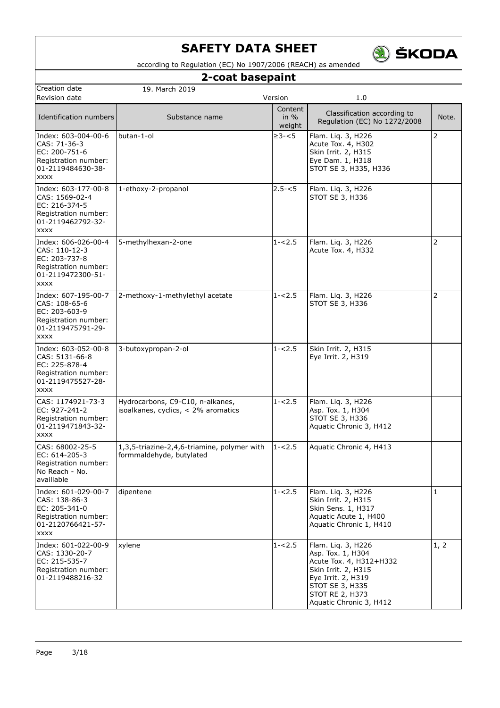

according to Regulation (EC) No 1907/2006 (REACH) as amended

## **2-coat basepaint**

| Creation date                                                                                                      | 19. March 2019                                                          |                             |                                                                                                                                                                                  |                |
|--------------------------------------------------------------------------------------------------------------------|-------------------------------------------------------------------------|-----------------------------|----------------------------------------------------------------------------------------------------------------------------------------------------------------------------------|----------------|
| Revision date                                                                                                      |                                                                         | Version                     | 1.0                                                                                                                                                                              |                |
| Identification numbers                                                                                             | Substance name                                                          | Content<br>in $%$<br>weight | Classification according to<br>Regulation (EC) No 1272/2008                                                                                                                      | Note.          |
| Index: 603-004-00-6<br>CAS: 71-36-3<br>EC: 200-751-6<br>Registration number:<br>01-2119484630-38-<br><b>XXXX</b>   | butan-1-ol                                                              | $\geq 3 - 5$                | Flam. Liq. 3, H226<br>Acute Tox. 4, H302<br>Skin Irrit. 2, H315<br>Eye Dam. 1, H318<br>STOT SE 3, H335, H336                                                                     | $\overline{2}$ |
| Index: 603-177-00-8<br>CAS: 1569-02-4<br>EC: 216-374-5<br>Registration number:<br>01-2119462792-32-<br><b>XXXX</b> | 1-ethoxy-2-propanol                                                     | $2.5 - 5$                   | Flam. Liq. 3, H226<br>STOT SE 3, H336                                                                                                                                            |                |
| Index: 606-026-00-4<br>CAS: 110-12-3<br>EC: 203-737-8<br>Registration number:<br>01-2119472300-51-<br><b>XXXX</b>  | 5-methylhexan-2-one                                                     | $1 - 2.5$                   | Flam. Lig. 3, H226<br>Acute Tox. 4, H332                                                                                                                                         | 2              |
| Index: 607-195-00-7<br>CAS: 108-65-6<br>EC: 203-603-9<br>Registration number:<br>01-2119475791-29-<br><b>XXXX</b>  | 2-methoxy-1-methylethyl acetate                                         | $1 - 2.5$                   | Flam. Liq. 3, H226<br>STOT SE 3, H336                                                                                                                                            | $\overline{2}$ |
| Index: 603-052-00-8<br>CAS: 5131-66-8<br>EC: 225-878-4<br>Registration number:<br>01-2119475527-28-<br><b>XXXX</b> | 3-butoxypropan-2-ol                                                     | $1 - 2.5$                   | Skin Irrit. 2, H315<br>Eye Irrit. 2, H319                                                                                                                                        |                |
| CAS: 1174921-73-3<br>EC: 927-241-2<br>Registration number:<br>01-2119471843-32-<br><b>XXXX</b>                     | Hydrocarbons, C9-C10, n-alkanes,<br>isoalkanes, cyclics, < 2% aromatics | $1 - 2.5$                   | Flam. Liq. 3, H226<br>Asp. Tox. 1, H304<br>STOT SE 3, H336<br>Aquatic Chronic 3, H412                                                                                            |                |
| CAS: 68002-25-5<br>EC: 614-205-3<br>Registration number:<br>No Reach - No.<br>availlable                           | 1,3,5-triazine-2,4,6-triamine, polymer with<br>formmaldehyde, butylated | $1 - 2.5$                   | Aquatic Chronic 4, H413                                                                                                                                                          |                |
| Index: 601-029-00-7<br>CAS: 138-86-3<br>EC: 205-341-0<br>Registration number:<br>01-2120766421-57-<br><b>XXXX</b>  | dipentene                                                               | $1 - 2.5$                   | Flam. Liq. 3, H226<br>Skin Irrit. 2, H315<br>Skin Sens. 1, H317<br>Aquatic Acute 1, H400<br>Aquatic Chronic 1, H410                                                              | 1              |
| Index: 601-022-00-9<br>CAS: 1330-20-7<br>EC: 215-535-7<br>Registration number:<br>01-2119488216-32                 | xylene                                                                  | $1 - 2.5$                   | Flam. Liq. 3, H226<br>Asp. Tox. 1, H304<br>Acute Tox. 4, H312+H332<br>Skin Irrit. 2, H315<br>Eye Irrit. 2, H319<br>STOT SE 3, H335<br>STOT RE 2, H373<br>Aquatic Chronic 3, H412 | 1, 2           |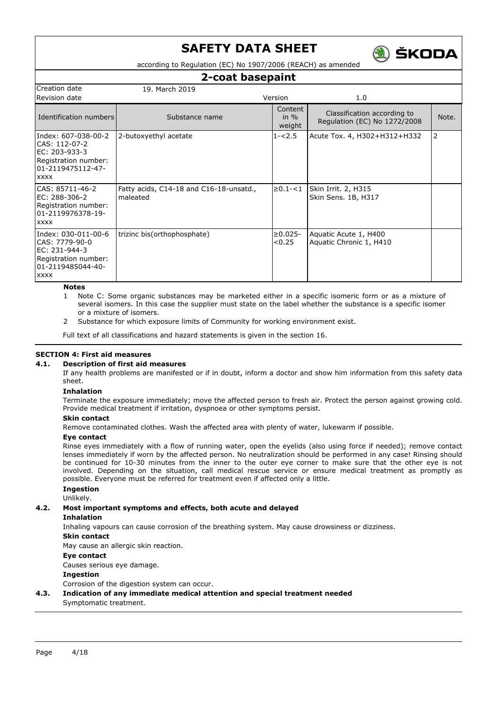

according to Regulation (EC) No 1907/2006 (REACH) as amended

### **2-coat basepaint**

| Creation date                                                                                                       | 19. March 2019                                      |                             |                                                             |                |
|---------------------------------------------------------------------------------------------------------------------|-----------------------------------------------------|-----------------------------|-------------------------------------------------------------|----------------|
| Revision date                                                                                                       |                                                     | Version                     | 1.0                                                         |                |
| Identification numbers                                                                                              | Substance name                                      | Content<br>in $%$<br>weight | Classification according to<br>Regulation (EC) No 1272/2008 | Note.          |
| Index: 607-038-00-2<br>CAS: 112-07-2<br>IEC: 203-933-3<br>Registration number:<br>01-2119475112-47-<br><b>XXXX</b>  | 2-butoxyethyl acetate                               | $1 - 2.5$                   | Acute Tox. 4, H302+H312+H332                                | $\overline{2}$ |
| ICAS: 85711-46-2<br>IEC: 288-306-2<br>Registration number:<br>101-2119976378-19-<br><b>XXXX</b>                     | Fatty acids, C14-18 and C16-18-unsatd.,<br>maleated | $\geq 0.1 - 1$              | Skin Irrit. 2, H315<br>Skin Sens. 1B, H317                  |                |
| Index: 030-011-00-6<br>CAS: 7779-90-0<br>EC: 231-944-3<br>Registration number:<br>l01-2119485044-40-<br><b>XXXX</b> | trizinc bis(orthophosphate)                         | $\geq 0.025$ -<br>< 0.25    | Aquatic Acute 1, H400<br>Aquatic Chronic 1, H410            |                |

**Notes**

- 1 Note C: Some organic substances may be marketed either in a specific isomeric form or as a mixture of several isomers. In this case the supplier must state on the label whether the substance is a specific isomer or a mixture of isomers.
- 2 Substance for which exposure limits of Community for working environment exist.

Full text of all classifications and hazard statements is given in the section 16.

### **SECTION 4: First aid measures**

### **4.1. Description of first aid measures**

If any health problems are manifested or if in doubt, inform a doctor and show him information from this safety data sheet.

### **Inhalation**

Terminate the exposure immediately; move the affected person to fresh air. Protect the person against growing cold. Provide medical treatment if irritation, dyspnoea or other symptoms persist.

### **Skin contact**

Remove contaminated clothes. Wash the affected area with plenty of water, lukewarm if possible.

### **Eye contact**

Rinse eyes immediately with a flow of running water, open the eyelids (also using force if needed); remove contact lenses immediately if worn by the affected person. No neutralization should be performed in any case! Rinsing should be continued for 10-30 minutes from the inner to the outer eye corner to make sure that the other eye is not involved. Depending on the situation, call medical rescue service or ensure medical treatment as promptly as possible. Everyone must be referred for treatment even if affected only a little.

#### **Ingestion** Unlikely.

### **4.2. Most important symptoms and effects, both acute and delayed**

### **Inhalation**

Inhaling vapours can cause corrosion of the breathing system. May cause drowsiness or dizziness.

### **Skin contact**

May cause an allergic skin reaction.

### **Eye contact**

Causes serious eye damage.

### **Ingestion**

Corrosion of the digestion system can occur.

**4.3. Indication of any immediate medical attention and special treatment needed** Symptomatic treatment.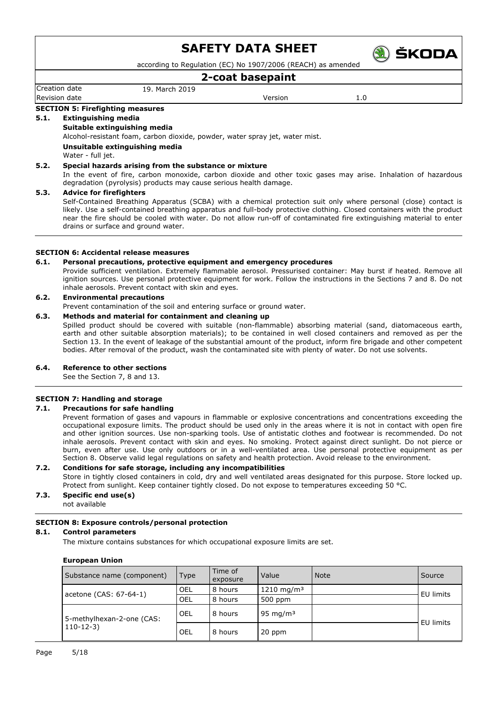

according to Regulation (EC) No 1907/2006 (REACH) as amended

### **2-coat basepaint**

Creation date 19. March 2019 Revision date and the version of the Version of the Version of the Version of the Version of the Version of the Version of the Version of the Version of the Version of the Version of the Version of the Version of the Versi

### **SECTION 5: Firefighting measures**

### **5.1. Extinguishing media**

### **Suitable extinguishing media**

Alcohol-resistant foam, carbon dioxide, powder, water spray jet, water mist.

**Unsuitable extinguishing media**

Water - full jet.

### **5.2. Special hazards arising from the substance or mixture**

In the event of fire, carbon monoxide, carbon dioxide and other toxic gases may arise. Inhalation of hazardous degradation (pyrolysis) products may cause serious health damage.

#### **5.3. Advice for firefighters**

Self-Contained Breathing Apparatus (SCBA) with a chemical protection suit only where personal (close) contact is likely. Use a self-contained breathing apparatus and full-body protective clothing. Closed containers with the product near the fire should be cooled with water. Do not allow run-off of contaminated fire extinguishing material to enter drains or surface and ground water.

### **SECTION 6: Accidental release measures**

#### **6.1. Personal precautions, protective equipment and emergency procedures**

Provide sufficient ventilation. Extremely flammable aerosol. Pressurised container: May burst if heated. Remove all ignition sources. Use personal protective equipment for work. Follow the instructions in the Sections 7 and 8. Do not inhale aerosols. Prevent contact with skin and eyes.

### **6.2. Environmental precautions**

Prevent contamination of the soil and entering surface or ground water.

### **6.3. Methods and material for containment and cleaning up**

Spilled product should be covered with suitable (non-flammable) absorbing material (sand, diatomaceous earth, earth and other suitable absorption materials); to be contained in well closed containers and removed as per the Section 13. In the event of leakage of the substantial amount of the product, inform fire brigade and other competent bodies. After removal of the product, wash the contaminated site with plenty of water. Do not use solvents.

### **6.4. Reference to other sections**

See the Section 7, 8 and 13.

### **SECTION 7: Handling and storage**

### **7.1. Precautions for safe handling**

Prevent formation of gases and vapours in flammable or explosive concentrations and concentrations exceeding the occupational exposure limits. The product should be used only in the areas where it is not in contact with open fire and other ignition sources. Use non-sparking tools. Use of antistatic clothes and footwear is recommended. Do not inhale aerosols. Prevent contact with skin and eyes. No smoking. Protect against direct sunlight. Do not pierce or burn, even after use. Use only outdoors or in a well-ventilated area. Use personal protective equipment as per Section 8. Observe valid legal regulations on safety and health protection. Avoid release to the environment.

### **7.2. Conditions for safe storage, including any incompatibilities**

Store in tightly closed containers in cold, dry and well ventilated areas designated for this purpose. Store locked up. Protect from sunlight. Keep container tightly closed. Do not expose to temperatures exceeding 50 °C.

### **7.3. Specific end use(s)**

not available

### **SECTION 8: Exposure controls/personal protection**

#### **8.1. Control parameters**

The mixture contains substances for which occupational exposure limits are set.

#### **European Union**

| Substance name (component)              | Type | Time of<br>exposure | Value                   | <b>Note</b> | Source    |
|-----------------------------------------|------|---------------------|-------------------------|-------------|-----------|
| acetone (CAS: 67-64-1)                  | OEL  | 8 hours             | $1210 \; \text{mg/m}^3$ |             | EU limits |
|                                         | OEL  | 8 hours             | 500 ppm                 |             |           |
| 5-methylhexan-2-one (CAS:<br>$110-12-3$ | OEL  | 8 hours             | 95 mg/m $3$             |             |           |
|                                         | OEL  | 8 hours             | 20 ppm                  |             | EU limits |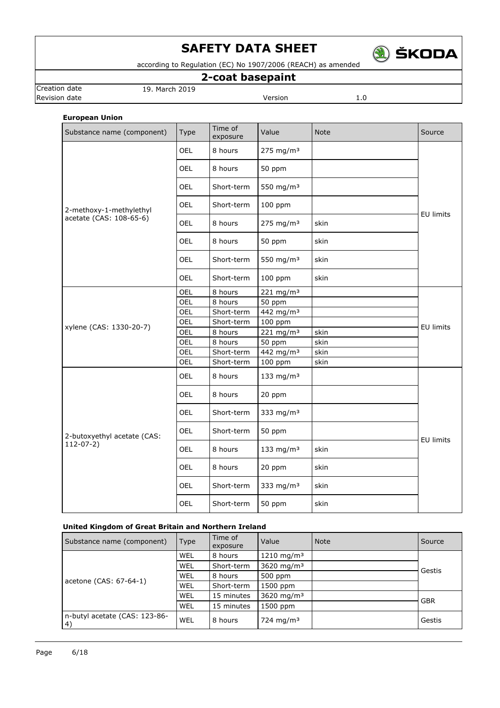

according to Regulation (EC) No 1907/2006 (REACH) as amended

## **2-coat basepaint**

**Revision date Version** 1.0

Creation date 19. March 2019

### **European Union**

| Substance name (component)  | <b>Type</b> | Time of<br>exposure | Value                 | Note | Source           |
|-----------------------------|-------------|---------------------|-----------------------|------|------------------|
|                             | <b>OEL</b>  | 8 hours             | 275 mg/m <sup>3</sup> |      |                  |
|                             | <b>OEL</b>  | 8 hours             | 50 ppm                |      |                  |
|                             | <b>OEL</b>  | Short-term          | 550 mg/m <sup>3</sup> |      |                  |
| 2-methoxy-1-methylethyl     | OEL         | Short-term          | 100 ppm               |      | <b>EU limits</b> |
| acetate (CAS: 108-65-6)     | <b>OEL</b>  | 8 hours             | 275 mg/m <sup>3</sup> | skin |                  |
|                             | <b>OEL</b>  | 8 hours             | 50 ppm                | skin |                  |
|                             | <b>OEL</b>  | Short-term          | 550 mg/m <sup>3</sup> | skin |                  |
|                             | OEL         | Short-term          | 100 ppm               | skin |                  |
|                             | OEL         | 8 hours             | 221 mg/m <sup>3</sup> |      |                  |
|                             | OEL         | 8 hours             | 50 ppm                |      |                  |
|                             | OEL         | Short-term          | 442 mg/m <sup>3</sup> |      | <b>EU limits</b> |
|                             | OEL         | Short-term          | 100 ppm               |      |                  |
| xylene (CAS: 1330-20-7)     | OEL         | 8 hours             | 221 mg/m <sup>3</sup> | skin |                  |
|                             | OEL         | 8 hours             | 50 ppm                | skin |                  |
|                             | OEL         | Short-term          | 442 mg/m <sup>3</sup> | skin |                  |
|                             | OEL         | Short-term          | 100 ppm               | skin |                  |
|                             | OEL         | 8 hours             | 133 mg/m $3$          |      |                  |
|                             | <b>OEL</b>  | 8 hours             | 20 ppm                |      |                  |
|                             | <b>OEL</b>  | Short-term          | 333 mg/m <sup>3</sup> |      |                  |
| 2-butoxyethyl acetate (CAS: | <b>OEL</b>  | Short-term          | 50 ppm                |      | <b>EU limits</b> |
| $112-07-2)$                 | OEL         | 8 hours             | 133 mg/m <sup>3</sup> | skin |                  |
|                             | <b>OEL</b>  | 8 hours             | 20 ppm                | skin |                  |
|                             | <b>OEL</b>  | Short-term          | 333 mg/m $3$          | skin |                  |
|                             | OEL         | Short-term          | 50 ppm                | skin |                  |

### **United Kingdom of Great Britain and Northern Ireland**

| Substance name (component)          | <b>Type</b> | Time of<br>exposure | Value                  | <b>Note</b> | Source     |
|-------------------------------------|-------------|---------------------|------------------------|-------------|------------|
|                                     | WEL         | 8 hours             | 1210 mg/m <sup>3</sup> |             |            |
|                                     | WEL         | Short-term          | 3620 mg/m <sup>3</sup> |             | Gestis     |
|                                     | WEL         | 8 hours             | 500 ppm                |             |            |
| acetone (CAS: 67-64-1)              | WEL         | Short-term          | 1500 ppm               |             |            |
|                                     | WEL         | 15 minutes          | 3620 mg/m <sup>3</sup> |             | <b>GBR</b> |
|                                     | WEL         | 15 minutes          | 1500 ppm               |             |            |
| n-butyl acetate (CAS: 123-86-<br>4) | WEL         | 8 hours             | 724 mg/m <sup>3</sup>  |             | Gestis     |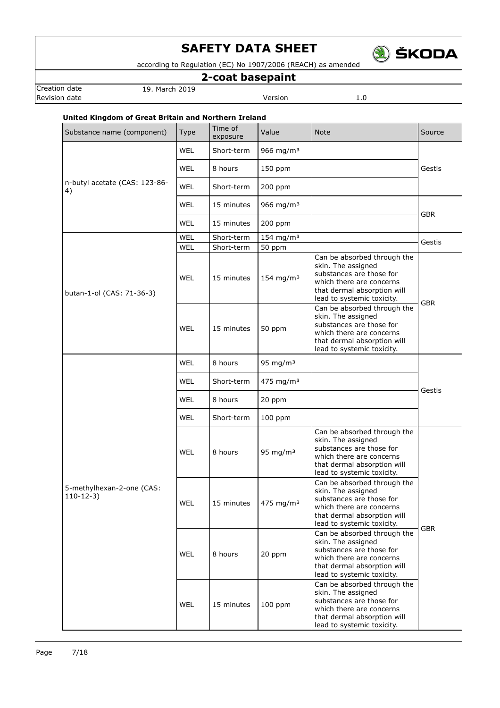

according to Regulation (EC) No 1907/2006 (REACH) as amended

## **2-coat basepaint**

Creation date 19. March 2019 **Revision date Version** 1.0

### **United Kingdom of Great Britain and Northern Ireland**

| Substance name (component)               | Type       | Time of<br>exposure | Value                   | <b>Note</b>                                                                                                                                                            | Source     |
|------------------------------------------|------------|---------------------|-------------------------|------------------------------------------------------------------------------------------------------------------------------------------------------------------------|------------|
|                                          | <b>WEL</b> | Short-term          | 966 mg/m $3$            |                                                                                                                                                                        |            |
|                                          | <b>WEL</b> | 8 hours             | 150 ppm                 |                                                                                                                                                                        | Gestis     |
| n-butyl acetate (CAS: 123-86-<br>4)      | <b>WEL</b> | Short-term          | $200$ ppm               |                                                                                                                                                                        |            |
|                                          | <b>WEL</b> | 15 minutes          | 966 mg/m $3$            |                                                                                                                                                                        | <b>GBR</b> |
|                                          | WEL        | 15 minutes          | 200 ppm                 |                                                                                                                                                                        |            |
|                                          | <b>WEL</b> | Short-term          | $154$ mg/m <sup>3</sup> |                                                                                                                                                                        | Gestis     |
|                                          | WEL        | Short-term          | 50 ppm                  |                                                                                                                                                                        |            |
| butan-1-ol (CAS: 71-36-3)                | <b>WEL</b> | 15 minutes          | 154 mg/m $3$            | Can be absorbed through the<br>skin. The assigned<br>substances are those for<br>which there are concerns<br>that dermal absorption will<br>lead to systemic toxicity. | <b>GBR</b> |
|                                          | WEL        | 15 minutes          | 50 ppm                  | Can be absorbed through the<br>skin. The assigned<br>substances are those for<br>which there are concerns<br>that dermal absorption will<br>lead to systemic toxicity. |            |
|                                          | <b>WEL</b> | 8 hours             | 95 mg/m $3$             |                                                                                                                                                                        |            |
|                                          | <b>WEL</b> | Short-term          | $475$ mg/m <sup>3</sup> |                                                                                                                                                                        | Gestis     |
|                                          | WEL        | 8 hours             | 20 ppm                  |                                                                                                                                                                        |            |
|                                          | <b>WEL</b> | Short-term          | $100$ ppm               |                                                                                                                                                                        |            |
|                                          | WEL        | 8 hours             | 95 mg/m $3$             | Can be absorbed through the<br>skin. The assigned<br>substances are those for<br>which there are concerns<br>that dermal absorption will<br>lead to systemic toxicity. |            |
| 5-methylhexan-2-one (CAS:<br>$110-12-3)$ | WEL        | 15 minutes          | $4/5$ mg/m <sup>3</sup> | Can be absorbed through the<br>skin. The assigned<br>substances are those for<br>which there are concerns<br>that dermal absorption will<br>lead to systemic toxicity. |            |
|                                          | WEL        | 8 hours             | 20 ppm                  | Can be absorbed through the<br>skin. The assigned<br>substances are those for<br>which there are concerns<br>that dermal absorption will<br>lead to systemic toxicity. | <b>GBR</b> |
|                                          | WEL        | 15 minutes          | $100$ ppm               | Can be absorbed through the<br>skin. The assigned<br>substances are those for<br>which there are concerns<br>that dermal absorption will<br>lead to systemic toxicity. |            |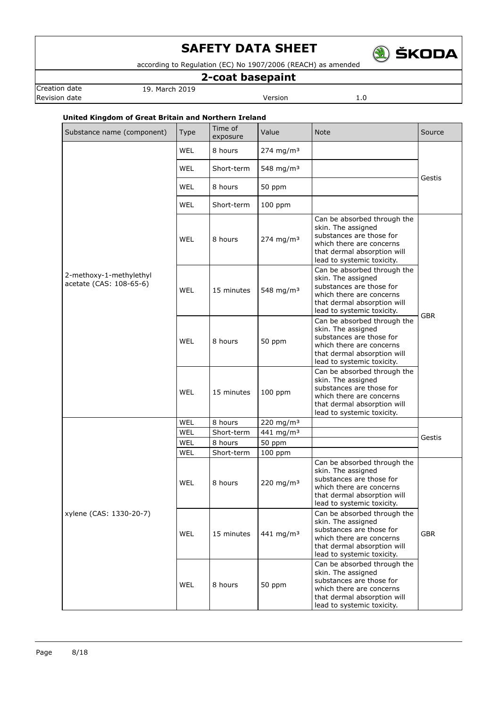

according to Regulation (EC) No 1907/2006 (REACH) as amended

## **2-coat basepaint**

Creation date 19. March 2019 **Revision date Version** 1.0

### **United Kingdom of Great Britain and Northern Ireland**

| Substance name (component)                         | Type       | Time of<br>exposure | Value                   | <b>Note</b>                                                                                                                                                            | Source     |
|----------------------------------------------------|------------|---------------------|-------------------------|------------------------------------------------------------------------------------------------------------------------------------------------------------------------|------------|
|                                                    | <b>WEL</b> | 8 hours             | 274 mg/m <sup>3</sup>   |                                                                                                                                                                        |            |
|                                                    | WEL        | Short-term          | 548 mg/m <sup>3</sup>   |                                                                                                                                                                        | Gestis     |
| 2-methoxy-1-methylethyl<br>acetate (CAS: 108-65-6) | WEL        | 8 hours             | 50 ppm                  |                                                                                                                                                                        |            |
|                                                    | <b>WEL</b> | Short-term          | $100$ ppm               |                                                                                                                                                                        |            |
|                                                    | <b>WEL</b> | 8 hours             | $274$ mg/m <sup>3</sup> | Can be absorbed through the<br>skin. The assigned<br>substances are those for<br>which there are concerns<br>that dermal absorption will<br>lead to systemic toxicity. |            |
|                                                    | <b>WEL</b> | 15 minutes          | 548 mg/m <sup>3</sup>   | Can be absorbed through the<br>skin. The assigned<br>substances are those for<br>which there are concerns<br>that dermal absorption will<br>lead to systemic toxicity. | <b>GBR</b> |
|                                                    | WEL        | 8 hours             | 50 ppm                  | Can be absorbed through the<br>skin. The assigned<br>substances are those for<br>which there are concerns<br>that dermal absorption will<br>lead to systemic toxicity. |            |
|                                                    | WEL        | 15 minutes          | $100$ ppm               | Can be absorbed through the<br>skin. The assigned<br>substances are those for<br>which there are concerns<br>that dermal absorption will<br>lead to systemic toxicity. |            |
|                                                    | WEL        | 8 hours             | 220 mg/m <sup>3</sup>   |                                                                                                                                                                        |            |
|                                                    | WEL        | Short-term          | 441 mg/m <sup>3</sup>   |                                                                                                                                                                        |            |
|                                                    | WEL        | 8 hours             | 50 ppm                  |                                                                                                                                                                        | Gestis     |
|                                                    | WEL        | Short-term          | 100 ppm                 |                                                                                                                                                                        |            |
| xylene (CAS: 1330-20-7)                            | WEL        | 8 hours             | 220 mg/m $3$            | Can be absorbed through the<br>skin. The assigned<br>substances are those for<br>which there are concerns<br>that dermal absorption will<br>lead to systemic toxicity. |            |
|                                                    | <b>WEL</b> | 15 minutes          | 441 mg/m <sup>3</sup>   | Can be absorbed through the<br>skin. The assigned<br>substances are those for<br>which there are concerns<br>that dermal absorption will<br>lead to systemic toxicity. | <b>GBR</b> |
|                                                    | <b>WEL</b> | 8 hours             | 50 ppm                  | Can be absorbed through the<br>skin. The assigned<br>substances are those for<br>which there are concerns<br>that dermal absorption will<br>lead to systemic toxicity. |            |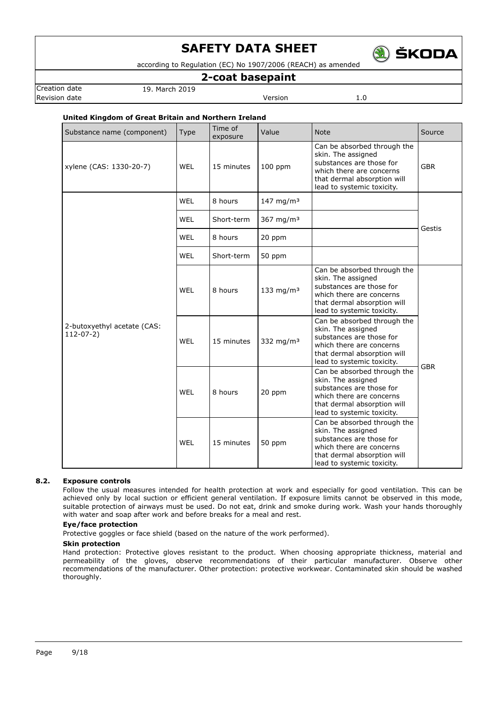

according to Regulation (EC) No 1907/2006 (REACH) as amended

### **2-coat basepaint**

Creation date 19. March 2019 Revision date **Version** 2.0

### **United Kingdom of Great Britain and Northern Ireland**

| Substance name (component)                 | <b>Type</b> | Time of<br>exposure | Value                 | <b>Note</b>                                                                                                                                                            | Source     |
|--------------------------------------------|-------------|---------------------|-----------------------|------------------------------------------------------------------------------------------------------------------------------------------------------------------------|------------|
| xylene (CAS: 1330-20-7)                    | <b>WEL</b>  | 15 minutes          | $100$ ppm             | Can be absorbed through the<br>skin. The assigned<br>substances are those for<br>which there are concerns<br>that dermal absorption will<br>lead to systemic toxicity. | <b>GBR</b> |
|                                            | <b>WEL</b>  | 8 hours             | 147 mg/m <sup>3</sup> |                                                                                                                                                                        |            |
|                                            | <b>WEL</b>  | Short-term          | 367 mg/m $3$          |                                                                                                                                                                        | Gestis     |
|                                            | <b>WEL</b>  | 8 hours             | 20 ppm                |                                                                                                                                                                        |            |
|                                            | <b>WEL</b>  | Short-term          | 50 ppm                |                                                                                                                                                                        |            |
| 2-butoxyethyl acetate (CAS:<br>$112-07-2)$ | <b>WEL</b>  | 8 hours             | 133 mg/m $3$          | Can be absorbed through the<br>skin. The assigned<br>substances are those for<br>which there are concerns<br>that dermal absorption will<br>lead to systemic toxicity. |            |
|                                            | <b>WEL</b>  | 15 minutes          | 332 mg/m $3$          | Can be absorbed through the<br>skin. The assigned<br>substances are those for<br>which there are concerns<br>that dermal absorption will<br>lead to systemic toxicity. | <b>GBR</b> |
|                                            | WEL         | 8 hours             | 20 ppm                | Can be absorbed through the<br>skin. The assigned<br>substances are those for<br>which there are concerns<br>that dermal absorption will<br>lead to systemic toxicity. |            |
|                                            | <b>WEL</b>  | 15 minutes          | 50 ppm                | Can be absorbed through the<br>skin. The assigned<br>substances are those for<br>which there are concerns<br>that dermal absorption will<br>lead to systemic toxicity. |            |

### **8.2. Exposure controls**

Follow the usual measures intended for health protection at work and especially for good ventilation. This can be achieved only by local suction or efficient general ventilation. If exposure limits cannot be observed in this mode, suitable protection of airways must be used. Do not eat, drink and smoke during work. Wash your hands thoroughly with water and soap after work and before breaks for a meal and rest.

### **Eye/face protection**

Protective goggles or face shield (based on the nature of the work performed).

### **Skin protection**

Hand protection: Protective gloves resistant to the product. When choosing appropriate thickness, material and permeability of the gloves, observe recommendations of their particular manufacturer. Observe other recommendations of the manufacturer. Other protection: protective workwear. Contaminated skin should be washed thoroughly.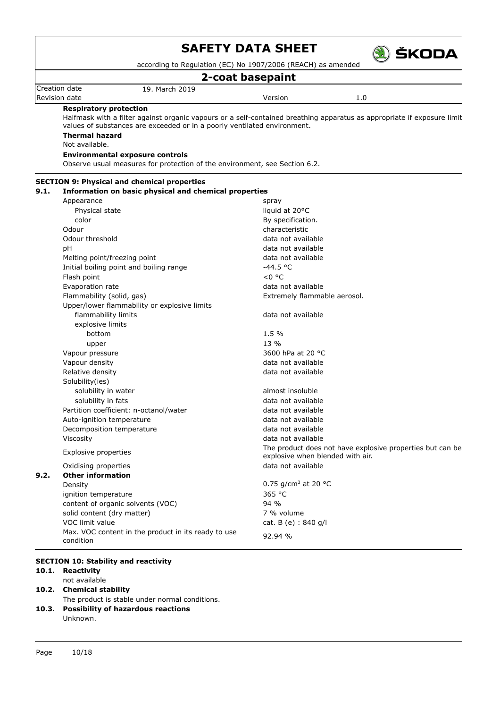

according to Regulation (EC) No 1907/2006 (REACH) as amended

## **2-coat basepaint**

Creation date 19. March 2019 Revision date **Version** 1.0

### **Respiratory protection**

Halfmask with a filter against organic vapours or a self-contained breathing apparatus as appropriate if exposure limit values of substances are exceeded or in a poorly ventilated environment. **Thermal hazard**

Not available.

## **Environmental exposure controls**

Observe usual measures for protection of the environment, see Section 6.2.

| 9.1. | <b>SECTION 9: Physical and chemical properties</b><br>Information on basic physical and chemical properties |                                                                                               |
|------|-------------------------------------------------------------------------------------------------------------|-----------------------------------------------------------------------------------------------|
|      | Appearance                                                                                                  | spray                                                                                         |
|      | Physical state                                                                                              | liquid at 20°C                                                                                |
|      | color                                                                                                       | By specification.                                                                             |
|      | Odour                                                                                                       | characteristic                                                                                |
|      | Odour threshold                                                                                             | data not available                                                                            |
|      | pH                                                                                                          | data not available                                                                            |
|      | Melting point/freezing point                                                                                | data not available                                                                            |
|      | Initial boiling point and boiling range                                                                     | $-44.5 °C$                                                                                    |
|      | Flash point                                                                                                 | $< 0$ °C                                                                                      |
|      | Evaporation rate                                                                                            | data not available                                                                            |
|      | Flammability (solid, gas)                                                                                   | Extremely flammable aerosol.                                                                  |
|      | Upper/lower flammability or explosive limits                                                                |                                                                                               |
|      | flammability limits                                                                                         | data not available                                                                            |
|      | explosive limits                                                                                            |                                                                                               |
|      | bottom                                                                                                      | 1.5%                                                                                          |
|      | upper                                                                                                       | 13 %                                                                                          |
|      | Vapour pressure                                                                                             | 3600 hPa at 20 °C                                                                             |
|      | Vapour density                                                                                              | data not available                                                                            |
|      | Relative density                                                                                            | data not available                                                                            |
|      | Solubility(ies)                                                                                             |                                                                                               |
|      | solubility in water                                                                                         | almost insoluble                                                                              |
|      | solubility in fats                                                                                          | data not available                                                                            |
|      | Partition coefficient: n-octanol/water                                                                      | data not available                                                                            |
|      | Auto-ignition temperature                                                                                   | data not available                                                                            |
|      | Decomposition temperature                                                                                   | data not available                                                                            |
|      | Viscosity                                                                                                   | data not available                                                                            |
|      | <b>Explosive properties</b>                                                                                 | The product does not have explosive properties but can be<br>explosive when blended with air. |
|      | Oxidising properties                                                                                        | data not available                                                                            |
| 9.2. | <b>Other information</b>                                                                                    |                                                                                               |
|      | Density                                                                                                     | 0.75 g/cm <sup>3</sup> at 20 °C                                                               |
|      | ignition temperature                                                                                        | 365 °C                                                                                        |
|      | content of organic solvents (VOC)                                                                           | 94%                                                                                           |
|      | solid content (dry matter)                                                                                  | 7 % volume                                                                                    |
|      | VOC limit value                                                                                             | cat. B (e) : 840 g/l                                                                          |
|      | Max. VOC content in the product in its ready to use<br>condition                                            | 92.94 %                                                                                       |

### **SECTION 10: Stability and reactivity**

### **10.1. Reactivity**

- not available
- **10.2. Chemical stability**
- The product is stable under normal conditions.
- **10.3. Possibility of hazardous reactions** Unknown.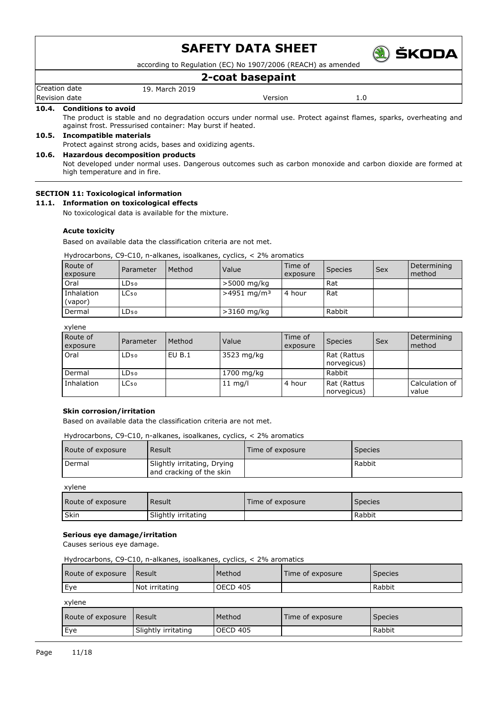

according to Regulation (EC) No 1907/2006 (REACH) as amended

### **2-coat basepaint**

Creation date 19. March 2019 Revision date Version 1.0

#### **10.4. Conditions to avoid**

The product is stable and no degradation occurs under normal use. Protect against flames, sparks, overheating and against frost. Pressurised container: May burst if heated.

### **10.5. Incompatible materials**

Protect against strong acids, bases and oxidizing agents.

#### **10.6. Hazardous decomposition products**

Not developed under normal uses. Dangerous outcomes such as carbon monoxide and carbon dioxide are formed at high temperature and in fire.

### **SECTION 11: Toxicological information**

#### **11.1. Information on toxicological effects**

No toxicological data is available for the mixture.

#### **Acute toxicity**

Based on available data the classification criteria are not met.

### Hydrocarbons, C9-C10, n-alkanes, isoalkanes, cyclics, < 2% aromatics

| Route of<br>exposure  | Parameter        | Method | Value                     | Time of<br>exposure | Species | Sex | Determining<br>method |
|-----------------------|------------------|--------|---------------------------|---------------------|---------|-----|-----------------------|
| Oral                  | LD <sub>50</sub> |        | >5000 mg/kg               |                     | Rat     |     |                       |
| Inhalation<br>(vapor) | LC <sub>50</sub> |        | $>4951$ mg/m <sup>3</sup> | 4 hour              | Rat     |     |                       |
| Dermal                | LD <sub>50</sub> |        | $>3160$ mg/kg             |                     | Rabbit  |     |                       |

xylene

| Route of<br>exposure | Parameter        | Method | Value      | Time of<br>exposure | Species                    | Sex | Determining<br>method   |
|----------------------|------------------|--------|------------|---------------------|----------------------------|-----|-------------------------|
| Oral                 | LD <sub>50</sub> | EU B.1 | 3523 mg/kg |                     | Rat (Rattus<br>norvegicus) |     |                         |
| Dermal               | LD50.            |        | 1700 mg/kg |                     | Rabbit                     |     |                         |
| Inhalation           | LC <sub>50</sub> |        | $11$ mg/l  | 4 hour              | Rat (Rattus<br>norvegicus) |     | Calculation of<br>value |

#### **Skin corrosion/irritation**

Based on available data the classification criteria are not met.

Hydrocarbons, C9-C10, n-alkanes, isoalkanes, cyclics, < 2% aromatics

| Route of exposure | Result                                                  | Time of exposure | <b>Species</b> |
|-------------------|---------------------------------------------------------|------------------|----------------|
| Dermal            | Slightly irritating, Drying<br>and cracking of the skin |                  | Rabbit         |

xylene

| Route of exposure | Result              | Time of exposure | Species |
|-------------------|---------------------|------------------|---------|
| Skin              | Slightly irritating |                  | Rabbit  |

#### **Serious eye damage/irritation**

Causes serious eye damage.

Hydrocarbons, C9-C10, n-alkanes, isoalkanes, cyclics, < 2% aromatics

| Route of exposure   Result |                | Method   | Time of exposure | <b>Species</b> |
|----------------------------|----------------|----------|------------------|----------------|
| Eve                        | Not irritating | OECD 405 |                  | Rabbit         |

| c |  |
|---|--|
|   |  |
|   |  |

| Route of exposure | l Result            | Method   | Time of exposure | <b>Species</b> |
|-------------------|---------------------|----------|------------------|----------------|
| l Eye             | Slightly irritating | OECD 405 |                  | Rabbit         |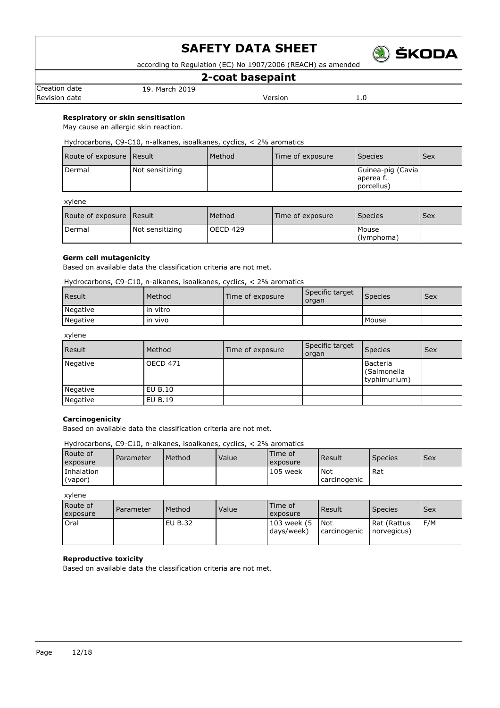

according to Regulation (EC) No 1907/2006 (REACH) as amended

## **2-coat basepaint**

Creation date 19. March 2019 Revision date **Version** 2.0

**Respiratory or skin sensitisation**

May cause an allergic skin reaction.

Hydrocarbons, C9-C10, n-alkanes, isoalkanes, cyclics, < 2% aromatics

| Route of exposure Result |                 | Method | Time of exposure | <b>Species</b>                               | l Sex |
|--------------------------|-----------------|--------|------------------|----------------------------------------------|-------|
| Dermal                   | Not sensitizing |        |                  | Guinea-pig (Cavia<br>aperea f.<br>porcellus) |       |

xylene

| Route of exposure   Result |                 | Method   | l Time of exposure | <b>Species</b>      | Sex |
|----------------------------|-----------------|----------|--------------------|---------------------|-----|
| Dermal                     | Not sensitizing | OECD 429 |                    | Mouse<br>(lymphoma) |     |

### **Germ cell mutagenicity**

Based on available data the classification criteria are not met.

Hydrocarbons, C9-C10, n-alkanes, isoalkanes, cyclics, < 2% aromatics

| <b>Result</b> | Method   | Time of exposure | Specific target<br>organ | <b>Species</b> | Sex |
|---------------|----------|------------------|--------------------------|----------------|-----|
| Negative      | in vitro |                  |                          |                |     |
| Negative      | in vivo  |                  |                          | Mouse          |     |

xylene

| Result   | Method          | Time of exposure | Specific target<br>organ | <b>Species</b>                          | <b>Sex</b> |
|----------|-----------------|------------------|--------------------------|-----------------------------------------|------------|
| Negative | <b>OECD 471</b> |                  |                          | Bacteria<br>(Salmonella<br>typhimurium) |            |
| Negative | EU B.10         |                  |                          |                                         |            |
| Negative | EU B.19         |                  |                          |                                         |            |

### **Carcinogenicity**

Based on available data the classification criteria are not met.

Hydrocarbons, C9-C10, n-alkanes, isoalkanes, cyclics, < 2% aromatics

| Route of<br>exposure  | Parameter | Method | Value | Time of<br>exposure | Result                       | <b>Species</b> | <b>Sex</b> |
|-----------------------|-----------|--------|-------|---------------------|------------------------------|----------------|------------|
| Inhalation<br>(vapor) |           |        |       | 105 week            | <b>Not</b><br>  carcinogenic | Rat            |            |

xylene

| Route of<br>exposure | Parameter | Method  | Value | Time of<br>exposure       | Result                | <b>Species</b>             | <b>Sex</b> |
|----------------------|-----------|---------|-------|---------------------------|-----------------------|----------------------------|------------|
| Oral                 |           | EU B.32 |       | 103 week (5<br>days/week) | l Not<br>carcinogenic | Rat (Rattus<br>norvegicus) | F/M        |

### **Reproductive toxicity**

Based on available data the classification criteria are not met.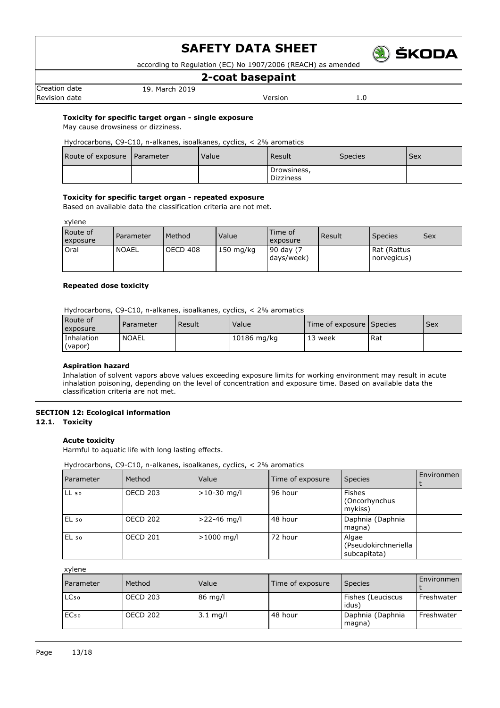

according to Regulation (EC) No 1907/2006 (REACH) as amended

### **2-coat basepaint**

Creation date 19. March 2019 Revision date **Version** 2.0

## **Toxicity for specific target organ - single exposure**

May cause drowsiness or dizziness.

Hydrocarbons, C9-C10, n-alkanes, isoalkanes, cyclics, < 2% aromatics

| Route of exposure   Parameter | Value | Result                          | <b>Species</b> | Sex |
|-------------------------------|-------|---------------------------------|----------------|-----|
|                               |       | Drowsiness,<br><b>Dizziness</b> |                |     |

### **Toxicity for specific target organ - repeated exposure**

Based on available data the classification criteria are not met.

xylene

| Route of<br>exposure | Parameter    | Method   | Value       | Time of<br>exposure     | Result | <b>Species</b>             | Sex |
|----------------------|--------------|----------|-------------|-------------------------|--------|----------------------------|-----|
| Oral                 | <b>NOAEL</b> | OECD 408 | $150$ mg/kg | 90 day (7<br>days/week) |        | Rat (Rattus<br>norvegicus) |     |

### **Repeated dose toxicity**

Hydrocarbons, C9-C10, n-alkanes, isoalkanes, cyclics, < 2% aromatics

| Route of<br>exposure  | Parameter    | Result | Value <sup>®</sup> | Time of exposure Species |     | <b>Sex</b> |
|-----------------------|--------------|--------|--------------------|--------------------------|-----|------------|
| Inhalation<br>(vapor) | <b>NOAEL</b> |        | 10186 mg/kg        | 13 week                  | Rat |            |

### **Aspiration hazard**

Inhalation of solvent vapors above values exceeding exposure limits for working environment may result in acute inhalation poisoning, depending on the level of concentration and exposure time. Based on available data the classification criteria are not met.

### **SECTION 12: Ecological information**

**12.1. Toxicity**

### **Acute toxicity**

Harmful to aquatic life with long lasting effects.

Hydrocarbons, C9-C10, n-alkanes, isoalkanes, cyclics, < 2% aromatics

| Parameter        | Method          | Value         | Time of exposure | <b>Species</b>                                | Environmen |
|------------------|-----------------|---------------|------------------|-----------------------------------------------|------------|
| LL <sub>50</sub> | <b>OECD 203</b> | $>10-30$ mg/l | 96 hour          | <b>Fishes</b><br>(Oncorhynchus<br>mykiss)     |            |
| $EL_{50}$        | <b>OECD 202</b> | $>22-46$ mg/l | 48 hour          | Daphnia (Daphnia<br>magna)                    |            |
| $EL_{50}$        | <b>OECD 201</b> | $>1000$ mg/l  | 72 hour          | Algae<br>(Pseudokirchneriella<br>subcapitata) |            |

xylene

| <b>Parameter</b> | Method          | Value              | Time of exposure | <b>Species</b>             | Environmen |
|------------------|-----------------|--------------------|------------------|----------------------------|------------|
| LC <sub>50</sub> | <b>OECD 203</b> | 86 mg/l            |                  | Fishes (Leuciscus<br>idus) | Freshwater |
| EC <sub>50</sub> | <b>OECD 202</b> | $3.1 \text{ mg/l}$ | 48 hour          | Daphnia (Daphnia<br>magna) | Freshwater |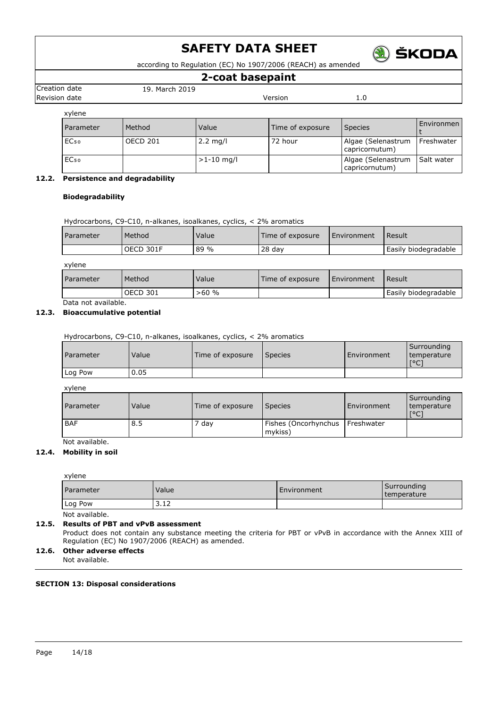

according to Regulation (EC) No 1907/2006 (REACH) as amended

### **2-coat basepaint**

Creation date 19. March 2019

Revision date **Version** 2.0 xylene Parameter Method Value Value Time of exposure Species Finder Species t EC₅₀ OECD 201 2.2 mg/l 72 hour Algae (Selenastrum capricornutum) Freshwater EC<sub>50</sub> 21-10 mg/l algae (Selenastrum capricornutum) Salt water

### **12.2. Persistence and degradability**

### **Biodegradability**

Hydrocarbons, C9-C10, n-alkanes, isoalkanes, cyclics, < 2% aromatics

| <b>Parameter</b> | Method    | Value | Time of exposure | l Environment | Result               |
|------------------|-----------|-------|------------------|---------------|----------------------|
|                  | OECD 301F | 89 %  | $28$ day         |               | Easily biodegradable |

| xylene           |                 |       |                  |               |                      |
|------------------|-----------------|-------|------------------|---------------|----------------------|
| <b>Parameter</b> | Method          | Value | Time of exposure | l Environment | l Result             |
|                  | <b>OECD 301</b> | >60%  |                  |               | Easily biodegradable |

Data not available.

### **12.3. Bioaccumulative potential**

Hydrocarbons, C9-C10, n-alkanes, isoalkanes, cyclics, < 2% aromatics

| <b>Parameter</b> | Value | Time of exposure | Species | l Environment | Surrounding<br>I temperature<br>$\sim$<br>՝ |
|------------------|-------|------------------|---------|---------------|---------------------------------------------|
| Log Pow          | 0.05  |                  |         |               |                                             |

xylene

| <b>Parameter</b> | Value | Time of exposure | <b>Species</b>                               | Environment | Surrounding<br>temperature<br>$\lceil$ °C |
|------------------|-------|------------------|----------------------------------------------|-------------|-------------------------------------------|
| <b>BAF</b>       | 8.5   | ' day            | Fishes (Oncorhynchus   Freshwater<br>mykiss) |             |                                           |

### Not available. **12.4. Mobility in soil**

#### xylene

| Parameter | Value            | Environment | Surrounding<br>I temperature |
|-----------|------------------|-------------|------------------------------|
| Log Pow   | $\sim$<br>ے کی ب |             |                              |

Not available.

### **12.5. Results of PBT and vPvB assessment**

Product does not contain any substance meeting the criteria for PBT or vPvB in accordance with the Annex XIII of Regulation (EC) No 1907/2006 (REACH) as amended.

### **12.6. Other adverse effects**

Not available.

### **SECTION 13: Disposal considerations**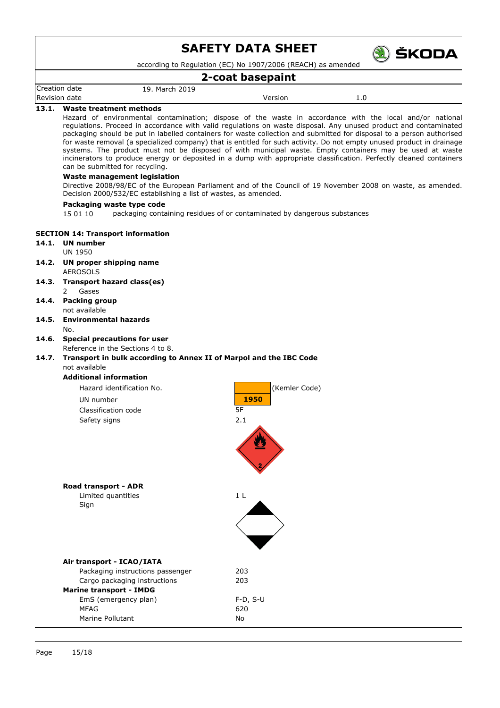

according to Regulation (EC) No 1907/2006 (REACH) as amended

### **2-coat basepaint**

Creation date 19. March 2019

Revision date and the version of the Version of the Version of the Version of the Version of the Version of the Version of the Version of the Version of the Version of the Version of the Version of the Version of the Versi

### **13.1. Waste treatment methods**

Hazard of environmental contamination; dispose of the waste in accordance with the local and/or national regulations. Proceed in accordance with valid regulations on waste disposal. Any unused product and contaminated packaging should be put in labelled containers for waste collection and submitted for disposal to a person authorised for waste removal (a specialized company) that is entitled for such activity. Do not empty unused product in drainage systems. The product must not be disposed of with municipal waste. Empty containers may be used at waste incinerators to produce energy or deposited in a dump with appropriate classification. Perfectly cleaned containers can be submitted for recycling.

#### **Waste management legislation**

Directive 2008/98/EC of the European Parliament and of the Council of 19 November 2008 on waste, as amended. Decision 2000/532/EC establishing a list of wastes, as amended.

#### **Packaging waste type code**

15 01 10 packaging containing residues of or contaminated by dangerous substances

### **SECTION 14: Transport information**

#### **14.1. UN number** UN 1950

- **14.2. UN proper shipping name** AEROSOLS
- **14.3. Transport hazard class(es)** 2 Gases
- **14.4. Packing group** not available
- **14.5. Environmental hazards** No.

## **14.6. Special precautions for user**

Reference in the Sections 4 to 8.

### **14.7. Transport in bulk according to Annex II of Marpol and the IBC Code** not available

**Additional information**

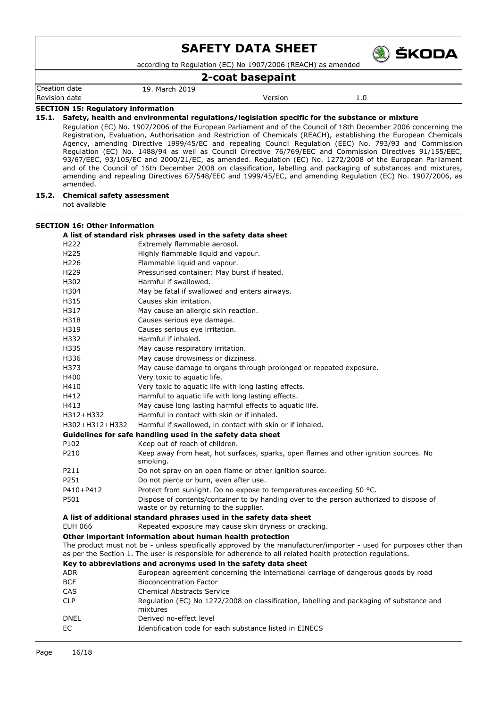according to Regulation (EC) No 1907/2006 (REACH) as amended

### **2-coat basepaint**

Creation date 19. March 2019

Revision date **Network 1.0 CONFIDENT CONSUMING CONTRACT Version Version 1.0** 

) ŠKODA

#### **SECTION 15: Regulatory information**

**15.1. Safety, health and environmental regulations/legislation specific for the substance or mixture**

Regulation (EC) No. 1907/2006 of the European Parliament and of the Council of 18th December 2006 concerning the Registration, Evaluation, Authorisation and Restriction of Chemicals (REACH), establishing the European Chemicals Agency, amending Directive 1999/45/EC and repealing Council Regulation (EEC) No. 793/93 and Commission Regulation (EC) No. 1488/94 as well as Council Directive 76/769/EEC and Commission Directives 91/155/EEC, 93/67/EEC, 93/105/EC and 2000/21/EC, as amended. Regulation (EC) No. 1272/2008 of the European Parliament and of the Council of 16th December 2008 on classification, labelling and packaging of substances and mixtures, amending and repealing Directives 67/548/EEC and 1999/45/EC, and amending Regulation (EC) No. 1907/2006, as amended.

### **15.2. Chemical safety assessment**

not available

### **SECTION 16: Other information**

### **A list of standard risk phrases used in the safety data sheet**

| H222           | Extremely flammable aerosol.                                                                                                                                                                                                    |
|----------------|---------------------------------------------------------------------------------------------------------------------------------------------------------------------------------------------------------------------------------|
| H225           | Highly flammable liquid and vapour.                                                                                                                                                                                             |
| H226           | Flammable liquid and vapour.                                                                                                                                                                                                    |
| H229           | Pressurised container: May burst if heated.                                                                                                                                                                                     |
| H302           | Harmful if swallowed.                                                                                                                                                                                                           |
| H304           | May be fatal if swallowed and enters airways.                                                                                                                                                                                   |
| H315           | Causes skin irritation.                                                                                                                                                                                                         |
| H317           | May cause an allergic skin reaction.                                                                                                                                                                                            |
| H318           | Causes serious eye damage.                                                                                                                                                                                                      |
| H319           | Causes serious eye irritation.                                                                                                                                                                                                  |
| H332           | Harmful if inhaled.                                                                                                                                                                                                             |
| H335           | May cause respiratory irritation.                                                                                                                                                                                               |
| H336           | May cause drowsiness or dizziness.                                                                                                                                                                                              |
| H373           | May cause damage to organs through prolonged or repeated exposure.                                                                                                                                                              |
| H400           | Very toxic to aquatic life.                                                                                                                                                                                                     |
| H410           | Very toxic to aquatic life with long lasting effects.                                                                                                                                                                           |
| H412           | Harmful to aquatic life with long lasting effects.                                                                                                                                                                              |
| H413           | May cause long lasting harmful effects to aquatic life.                                                                                                                                                                         |
| H312+H332      | Harmful in contact with skin or if inhaled.                                                                                                                                                                                     |
| H302+H312+H332 | Harmful if swallowed, in contact with skin or if inhaled.                                                                                                                                                                       |
|                | Guidelines for safe handling used in the safety data sheet                                                                                                                                                                      |
| P102           | Keep out of reach of children.                                                                                                                                                                                                  |
| P210           | Keep away from heat, hot surfaces, sparks, open flames and other ignition sources. No<br>smoking.                                                                                                                               |
| P211           | Do not spray on an open flame or other ignition source.                                                                                                                                                                         |
| P251           | Do not pierce or burn, even after use.                                                                                                                                                                                          |
| P410+P412      | Protect from sunlight. Do no expose to temperatures exceeding 50 °C.                                                                                                                                                            |
| P501           | Dispose of contents/container to by handing over to the person authorized to dispose of<br>waste or by returning to the supplier.                                                                                               |
|                | A list of additional standard phrases used in the safety data sheet                                                                                                                                                             |
| EUH 066        | Repeated exposure may cause skin dryness or cracking.                                                                                                                                                                           |
|                | Other important information about human health protection                                                                                                                                                                       |
|                | The product must not be - unless specifically approved by the manufacturer/importer - used for purposes other than<br>as per the Section 1. The user is responsible for adherence to all related health protection regulations. |

**Key to abbreviations and acronyms used in the safety data sheet**

| <b>ADR</b>  | European agreement concerning the international carriage of dangerous goods by road                  |
|-------------|------------------------------------------------------------------------------------------------------|
| <b>BCF</b>  | <b>Bioconcentration Factor</b>                                                                       |
| CAS         | Chemical Abstracts Service                                                                           |
| <b>CLP</b>  | Regulation (EC) No 1272/2008 on classification, labelling and packaging of substance and<br>mixtures |
| <b>DNEL</b> | Derived no-effect level                                                                              |
| EC.         | Identification code for each substance listed in EINECS                                              |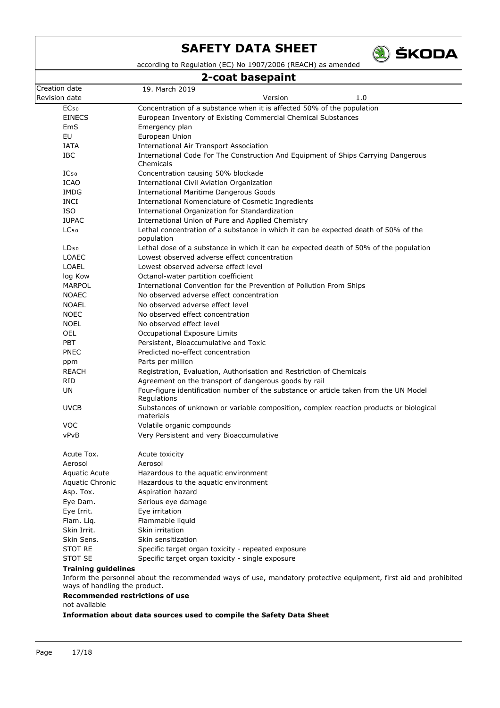

according to Regulation (EC) No 1907/2006 (REACH) as amended

## **2-coat basepaint**

|                                                             | Z-cuat Dasepanit                                                                                                 |
|-------------------------------------------------------------|------------------------------------------------------------------------------------------------------------------|
| Creation date                                               | 19. March 2019                                                                                                   |
| Revision date                                               | Version<br>1.0                                                                                                   |
| EC <sub>50</sub>                                            | Concentration of a substance when it is affected 50% of the population                                           |
| <b>EINECS</b>                                               | European Inventory of Existing Commercial Chemical Substances                                                    |
| EmS                                                         | Emergency plan                                                                                                   |
| EU                                                          | European Union                                                                                                   |
| IATA                                                        | <b>International Air Transport Association</b>                                                                   |
| IBC                                                         | International Code For The Construction And Equipment of Ships Carrying Dangerous<br>Chemicals                   |
| $IC_{50}$                                                   | Concentration causing 50% blockade                                                                               |
| <b>ICAO</b>                                                 | International Civil Aviation Organization                                                                        |
| <b>IMDG</b>                                                 | <b>International Maritime Dangerous Goods</b>                                                                    |
| <b>INCI</b>                                                 | International Nomenclature of Cosmetic Ingredients                                                               |
| <b>ISO</b>                                                  | International Organization for Standardization                                                                   |
| <b>IUPAC</b>                                                | International Union of Pure and Applied Chemistry                                                                |
| LC <sub>50</sub>                                            | Lethal concentration of a substance in which it can be expected death of 50% of the<br>population                |
| LD <sub>50</sub>                                            | Lethal dose of a substance in which it can be expected death of 50% of the population                            |
| <b>LOAEC</b>                                                | Lowest observed adverse effect concentration                                                                     |
| <b>LOAEL</b>                                                | Lowest observed adverse effect level                                                                             |
| log Kow                                                     | Octanol-water partition coefficient                                                                              |
| MARPOL                                                      | International Convention for the Prevention of Pollution From Ships                                              |
| <b>NOAEC</b>                                                | No observed adverse effect concentration                                                                         |
| <b>NOAEL</b>                                                | No observed adverse effect level                                                                                 |
| <b>NOEC</b>                                                 | No observed effect concentration                                                                                 |
| <b>NOEL</b>                                                 | No observed effect level                                                                                         |
| OEL                                                         | Occupational Exposure Limits                                                                                     |
| <b>PBT</b>                                                  | Persistent, Bioaccumulative and Toxic                                                                            |
| <b>PNEC</b>                                                 | Predicted no-effect concentration                                                                                |
| ppm                                                         | Parts per million                                                                                                |
| <b>REACH</b>                                                | Registration, Evaluation, Authorisation and Restriction of Chemicals                                             |
| <b>RID</b>                                                  | Agreement on the transport of dangerous goods by rail                                                            |
| <b>UN</b>                                                   | Four-figure identification number of the substance or article taken from the UN Model<br>Regulations             |
| <b>UVCB</b>                                                 | Substances of unknown or variable composition, complex reaction products or biological<br>materials              |
| <b>VOC</b>                                                  | Volatile organic compounds                                                                                       |
| vPvB                                                        | Very Persistent and very Bioaccumulative                                                                         |
| Acute Tox.                                                  | Acute toxicity                                                                                                   |
| Aerosol                                                     | Aerosol                                                                                                          |
| Aquatic Acute                                               | Hazardous to the aquatic environment                                                                             |
| Aquatic Chronic                                             | Hazardous to the aquatic environment                                                                             |
| Asp. Tox.                                                   | Aspiration hazard                                                                                                |
| Eye Dam.                                                    | Serious eye damage                                                                                               |
| Eye Irrit.                                                  | Eye irritation                                                                                                   |
| Flam. Liq.                                                  | Flammable liquid                                                                                                 |
| Skin Irrit.                                                 | Skin irritation                                                                                                  |
| Skin Sens.                                                  | Skin sensitization                                                                                               |
| <b>STOT RE</b>                                              | Specific target organ toxicity - repeated exposure                                                               |
| <b>STOT SE</b>                                              | Specific target organ toxicity - single exposure                                                                 |
| <b>Training guidelines</b><br>ways of handling the product. | Inform the personnel about the recommended ways of use, mandatory protective equipment, first aid and prohibited |
|                                                             | <b>Recommended restrictions of use</b>                                                                           |
|                                                             |                                                                                                                  |

not available

**Information about data sources used to compile the Safety Data Sheet**